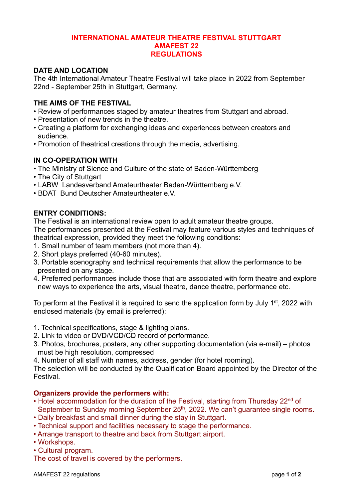#### **INTERNATIONAL AMATEUR THEATRE FESTIVAL STUTTGART AMAFEST 22 REGULATIONS**

# **DATE AND LOCATION**

The 4th International Amateur Theatre Festival will take place in 2022 from September 22nd - September 25th in Stuttgart, Germany.

## **THE AIMS OF THE FESTIVAL**

- Review of performances staged by amateur theatres from Stuttgart and abroad.
- Presentation of new trends in the theatre.
- Creating a platform for exchanging ideas and experiences between creators and audience.
- Promotion of theatrical creations through the media, advertising.

## **IN CO-OPERATION WITH**

- The Ministry of Sience and Culture of the state of Baden-Württemberg
- The City of Stuttgart
- LABW Landesverband Amateurtheater Baden-Württemberg e.V.
- BDAT Bund Deutscher Amateurtheater e.V.

## **ENTRY CONDITIONS:**

The Festival is an international review open to adult amateur theatre groups. The performances presented at the Festival may feature various styles and techniques of theatrical expression, provided they meet the following conditions:

- 1. Small number of team members (not more than 4).
- 2. Short plays preferred (40-60 minutes).
- 3. Portable scenography and technical requirements that allow the performance to be presented on any stage.
- 4. Preferred performances include those that are associated with form theatre and explore new ways to experience the arts, visual theatre, dance theatre, performance etc.

To perform at the Festival it is required to send the application form by July 1<sup>st</sup>, 2022 with enclosed materials (by email is preferred):

- 1. Technical specifications, stage & lighting plans.
- 2. Link to video or DVD/VCD/CD record of performance.
- 3. Photos, brochures, posters, any other supporting documentation (via e-mail) photos must be high resolution, compressed
- 4. Number of all staff with names, address, gender (for hotel rooming).

The selection will be conducted by the Qualification Board appointed by the Director of the Festival.

#### **Organizers provide the performers with:**

- Hotel accommodation for the duration of the Festival, starting from Thursday 22<sup>nd</sup> of September to Sunday morning September 25<sup>th</sup>, 2022. We can't guarantee single rooms.
- Daily breakfast and small dinner during the stay in Stuttgart.
- Technical support and facilities necessary to stage the performance.
- Arrange transport to theatre and back from Stuttgart airport.
- Workshops.
- Cultural program.

The cost of travel is covered by the performers.